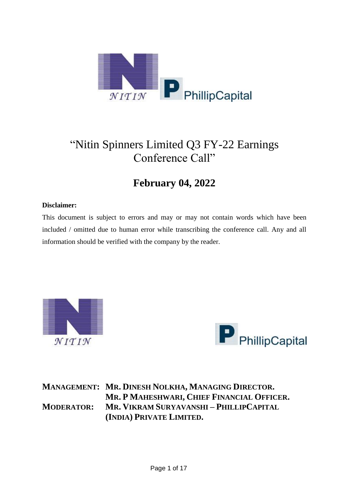

## "Nitin Spinners Limited Q3 FY-22 Earnings Conference Call"

## **February 04, 2022**

## **Disclaimer:**

This document is subject to errors and may or may not contain words which have been included / omitted due to human error while transcribing the conference call. Any and all information should be verified with the company by the reader.





**MANAGEMENT: MR. DINESH NOLKHA, MANAGING DIRECTOR. MR. P MAHESHWARI, CHIEF FINANCIAL OFFICER. MODERATOR: MR. VIKRAM SURYAVANSHI – PHILLIPCAPITAL (INDIA) PRIVATE LIMITED.**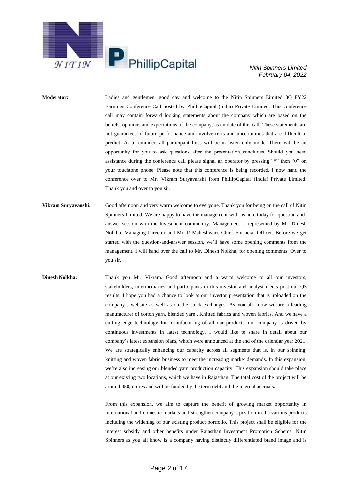

**Moderator:** Ladies and gentlemen, good day and welcome to the Nitin Spinners Limited 3Q FY22 Earnings Conference Call hosted by PhillipCapital (India) Private Limited. This conference call may contain forward looking statements about the company which are based on the beliefs, opinions and expectations of the company, as on date of this call. These statements are not guarantees of future performance and involve risks and uncertainties that are difficult to predict. As a reminder, all participant lines will be in listen only mode. There will be an opportunity for you to ask questions after the presentation concludes. Should you need assistance during the conference call please signal an operator by pressing "\*" then "0" on your touchtone phone. Please note that this conference is being recorded. I now hand the conference over to Mr. Vikram Suryavanshi from PhillipCapital (India) Private Limited. Thank you and over to you sir.

**Vikram Suryavanshi:** Good afternoon and very warm welcome to everyone. Thank you for being on the call of Nitin Spinners Limited. We are happy to have the management with us here today for question andanswer-session with the investment community. Management is represented by Mr. Dinesh Nolkha, Managing Director and Mr. P Maheshwari, Chief Financial Officer. Before we get started with the question-and-answer session, we'll have some opening comments from the management. I will hand over the call to Mr. Dinesh Nolkha, for opening comments. Over to you sir.

**Dinesh Nolkha:** Thank you Mr. Vikram. Good afternoon and a warm welcome to all our investors, stakeholders, intermediaries and participants in this investor and analyst meets post our Q3 results. I hope you had a chance to look at our investor presentation that is uploaded on the company's website as well as on the stock exchanges. As you all know we are a leading manufacturer of cotton yarn, blended yarn , Knitted fabrics and woven fabrics. And we have a cutting edge technology for manufacturing of all our products. our company is driven by continuous investments in latest technology. I would like to share in detail about our company's latest expansion plans, which were announced at the end of the calendar year 2021. We are strategically enhancing our capacity across all segments that is, in our spinning, knitting and woven fabric business to meet the increasing market demands. In this expansion, we're also increasing our blended yarn production capacity. This expansion should take place at our existing two locations, which we have in Rajasthan. The total cost of the project will be around 950, crores and will be funded by the term debt and the internal accruals.

> From this expansion, we aim to capture the benefit of growing market opportunity in international and domestic markets and strengthen company's position in the various products including the widening of our existing product portfolio. This project shall be eligible for the interest subsidy and other benefits under Rajasthan Investment Promotion Scheme. Nitin Spinners as you all know is a company having distinctly differentiated brand image and is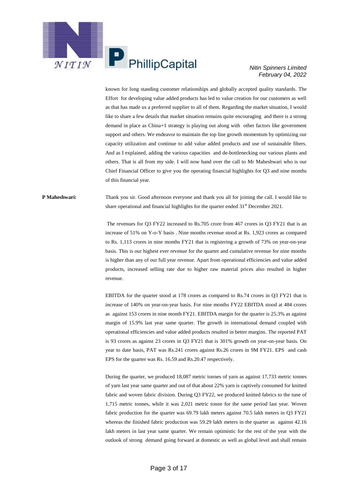

known for long standing customer relationships and globally accepted quality standards. The Effort for developing value added products has led to value creation for our customers as well as that has made us a preferred supplier to all of them. Regarding the market situation, I would like to share a few details that market situation remains quite encouraging and there is a strong demand in place as China+1 strategy is playing out along with other factors like government support and others. We endeavor to maintain the top line growth momentum by optimizing our capacity utilization and continue to add value added products and use of sustainable fibers. And as I explained, adding the various capacities and de-bottlenecking our various plants and others. That is all from my side. I will now hand over the call to Mr Maheshwari who is our Chief Financial Officer to give you the operating financial highlights for Q3 and nine months of this financial year.

## **P Maheshwari:** Thank you sir. Good afternoon everyone and thank you all for joining the call. I would like to share operational and financial highlights for the quarter ended  $31<sup>st</sup>$  December 2021.

The revenues for Q3 FY22 increased to Rs.705 crore from 467 crores in Q3 FY21 that is an increase of 51% on Y-o-Y basis . Nine months revenue stood at Rs. 1,923 crores as compared to Rs. 1,113 crores in nine months FY21 that is registering a growth of 73% on year-on-year basis. This is our highest ever revenue for the quarter and cumulative revenue for nine months is higher than any of our full year revenue. Apart from operational efficiencies and value added products, increased selling rate due to higher raw material prices also resulted in higher revenue.

EBITDA for the quarter stood at 178 crores as compared to Rs.74 crores in Q3 FY21 that is increase of 140% on year-on-year basis. For nine months FY22 EBITDA stood at 484 crores as against 153 crores in nine month FY21. EBITDA margin for the quarter is 25.3% as against margin of 15.9% last year same quarter. The growth in international demand coupled with operational efficiencies and value added products resulted in better margins. The reported PAT is 93 crores as against 23 crores in Q3 FY21 that is 301% growth on year-on-year basis. On year to date basis, PAT was Rs.241 crores against Rs.26 crores in 9M FY21. EPS and cash EPS for the quarter was Rs. 16.59 and Rs.20.47 respectively.

During the quarter, we produced 18,087 metric tonnes of yarn as against 17,733 metric tonnes of yarn last year same quarter and out of that about 22% yarn is captively consumed for knitted fabric and woven fabric division. During Q3 FY22, we produced knitted fabrics to the tune of 1,715 metric tonnes, while it was 2,021 metric tonne for the same period last year. Woven fabric production for the quarter was 69.79 lakh meters against 70.5 lakh meters in Q3 FY21 whereas the finished fabric production was 59.29 lakh meters in the quarter as against 42.16 lakh meters in last year same quarter. We remain optimistic for the rest of the year with the outlook of strong demand going forward at domestic as well as global level and shall remain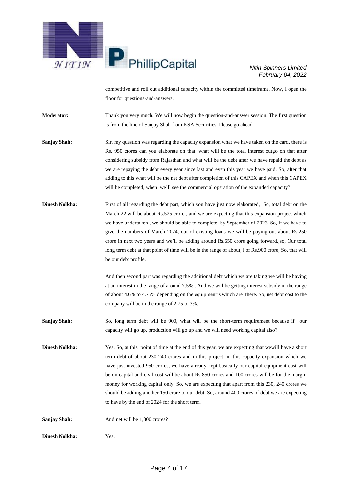

competitive and roll out additional capacity within the committed timeframe. Now, I open the floor for questions-and-answers.

**Moderator:** Thank you very much. We will now begin the question-and-answer session. The first question is from the line of Sanjay Shah from KSA Securities. Please go ahead.

**Sanjay Shah:** Sir, my question was regarding the capacity expansion what we have taken on the card, there is Rs. 950 crores can you elaborate on that, what will be the total interest outgo on that after considering subsidy from Rajasthan and what will be the debt after we have repaid the debt as we are repaying the debt every year since last and even this year we have paid. So, after that adding to this what will be the net debt after completion of this CAPEX and when this CAPEX will be completed, when we'll see the commercial operation of the expanded capacity?

**Dinesh Nolkha:** First of all regarding the debt part, which you have just now elaborated, So, total debt on the March 22 will be about Rs.525 crore , and we are expecting that this expansion project which we have undertaken , we should be able to complete by September of 2023. So, if we have to give the numbers of March 2024, out of existing loans we will be paying out about Rs.250 crore in next two years and we'll be adding around Rs.650 crore going forward.,so, Our total long term debt at that point of time will be in the range of about, l of Rs.900 crore, So, that will be our debt profile.

> And then second part was regarding the additional debt which we are taking we will be having at an interest in the range of around 7.5% . And we will be getting interest subsidy in the range of about 4.6% to 4.75% depending on the equipment's which are there. So, net debt cost to the company will be in the range of 2.75 to 3%.

- **Sanjay Shah:** So, long term debt will be 900, what will be the short-term requirement because if our capacity will go up, production will go up and we will need working capital also?
- **Dinesh Nolkha:** Yes. So, at this point of time at the end of this year, we are expecting that wewill have a short term debt of about 230-240 crores and in this project, in this capacity expansion which we have just invested 950 crores, we have already kept basically our capital equipment cost will be on capital and civil cost will be about Rs 850 crores and 100 crores will be for the margin money for working capital only. So, we are expecting that apart from this 230, 240 crores we should be adding another 150 crore to our debt. So, around 400 crores of debt we are expecting to have by the end of 2024 for the short term.

**Sanjay Shah:** And net will be 1,300 crores?

**Dinesh Nolkha:** Yes.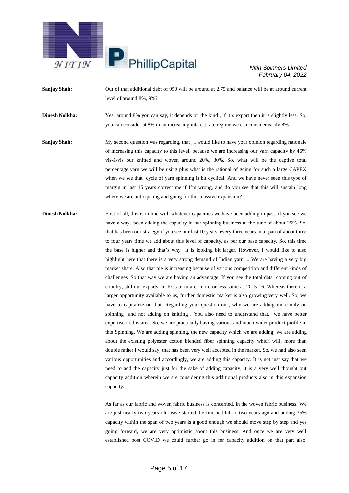

**Sanjay Shah:** Out of that additional debt of 950 will be around at 2.75 and balance will be at around current level of around 8%, 9%?

**Dinesh Nolkha:** Yes, around 8% you can say, it depends on the kind, if it's export then it is slightly less. So, you can consider at 8% in an increasing interest rate regime we can consider easily 8%.

**Sanjay Shah:** My second question was regarding, that , I would like to have your opinion regarding rationale of increasing this capacity to this level, because we are increasing our yarn capacity by 46% vis-à-vis our knitted and woven around 20%, 30%. So, what will be the captive total percentage yarn we will be using plus what is the rational of going for such a large CAPEX when we see that cycle of yarn spinning is bit cyclical. And we have never seen this type of margin in last 15 years correct me if I'm wrong, and do you see that this will sustain long where we are anticipating and going for this massive expansion?

**Dinesh Nolkha:** First of all, this is in line with whatever capacities we have been adding in past, if you see we have always been adding the capacity in our spinning business to the tune of about 25%. So, that has been our strategy if you see our last 10 years, every three years in a span of about three to four years time we add about this level of capacity, as per our base capacity. So, this time the base is higher and that's why it is looking bit larger. However, I would like to also highlight here that there is a very strong demand of Indian yarn, .. We are having a very big market share. Also that pie is increasing because of various competition and different kinds of challenges. So that way we are having an advantage. If you see the total data coming out of country, still our exports in KGs term are more or less same as 2015-16. Whereas there is a larger opportunity available to us, further domestic market is also growing very well. So, we have to capitalize on that. Regarding your question on , why we are adding more only on spinning and not adding on knitting . You also need to understand that, we have better expertise in this area. So, we are practically having various and much wider product profile in this Spinning. We are adding spinning, the new capacity which we are adding, we are adding about the existing polyester cotton blended fiber spinning capacity which will, more than double rather I would say, that has been very well accepted in the market. So, we had also seen various opportunities and accordingly, we are adding this capacity. It is not just say that we need to add the capacity just for the sake of adding capacity, it is a very well thought out capacity addition wherein we are considering this additional products also in this expansion capacity.

> As far as our fabric and woven fabric business is concerned, in the woven fabric business. We are just nearly two years old aswe started the finished fabric two years ago and adding 35% capacity within the span of two years is a good enough we should move step by step and yes going forward, we are very optimistic about this business. And once we are very well established post COVID we could further go in for capacity addition on that part also.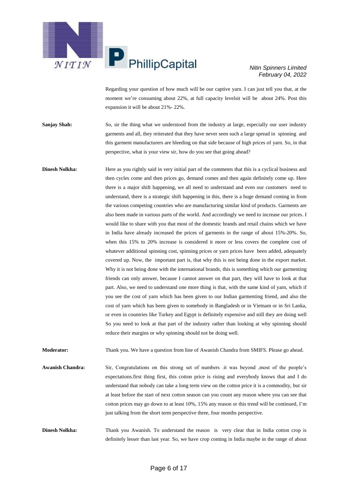

Regarding your question of how much will be our captive yarn. I can just tell you that, at the moment we're consuming about 22%, at full capacity levelsit will be about 24%. Post this expansion it will be about 21%- 22%.

**Sanjay Shah:** So, sir the thing what we understood from the industry at large, especially our user industry garments and all, they reiterated that they have never seen such a large spread in spinning and this garment manufacturers are bleeding on that side because of high prices of yarn. So, in that perspective, what is your view sir, how do you see that going ahead?

**Dinesh Nolkha:** Here as you rightly said in very initial part of the comments that this is a cyclical business and then cycles come and then prices go, demand comes and then again definitely come up. Here there is a major shift happening, we all need to understand and even our customers need to understand, there is a strategic shift happening in this, there is a huge demand coming in from the various competing countries who are manufacturing similar kind of products. Garments are also been made in various parts of the world. And accordingly we need to increase our prices. I would like to share with you that most of the domestic brands and retail chains which we have in India have already increased the prices of garments in the range of about 15%-20%. So, when this 15% to 20% increase is considered it more or less covers the complete cost of whatever additional spinning cost, spinning prices or yarn prices have been added, adequately covered up. Now, the important part is, that why this is not being done in the export market. Why it is not being done with the international brands, this is something which our garmenting friends can only answer, because I cannot answer on that part, they will have to look at that part. Also, we need to understand one more thing is that, with the same kind of yarn, which if you see the cost of yarn which has been given to our Indian garmenting friend, and also the cost of yarn which has been given to somebody in Bangladesh or in Vietnam or in Sri Lanka, or even in countries like Turkey and Egypt is definitely expensive and still they are doing well So you need to look at that part of the industry rather than looking at why spinning should reduce their margins or why spinning should not be doing well.

**Moderator:** Thank you. We have a question from line of Awanish Chandra from SMIFS. Please go ahead.

**Awanish Chandra:** Sir, Congratulations on this strong set of numbers .it was beyond ,most of the people's expectations.first thing first, this cotton price is rising and everybody knows that and I do understand that nobody can take a long term view on the cotton price it is a commodity, but sir at least before the start of next cotton season can you count any reason where you can see that cotton prices may go down to at least 10%, 15% any reason or this trend will be continued, I'm just talking from the short term perspective three, four months perspective.

**Dinesh Nolkha:** Thank you Awanish. To understand the reason is very clear that in India cotton crop is definitely lesser than last year. So, we have crop coming in India maybe in the range of about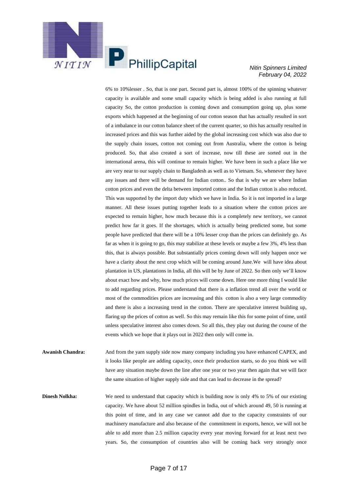

6% to 10%lesser . So, that is one part. Second part is, almost 100% of the spinning whatever capacity is available and some small capacity which is being added is also running at full capacity So, the cotton production is coming down and consumption going up, plus some exports which happened at the beginning of our cotton season that has actually resulted in sort of a imbalance in our cotton balance sheet of the current quarter, so this has actually resulted in increased prices and this was further aided by the global increasing cost which was also due to the supply chain issues, cotton not coming out from Australia, where the cotton is being produced. So, that also created a sort of increase, now till these are sorted out in the international arena, this will continue to remain higher. We have been in such a place like we are very near to our supply chain to Bangladesh as well as to Vietnam. So, whenever they have any issues and there will be demand for Indian cotton.. So that is why we are where Indian cotton prices and even the delta between imported cotton and the Indian cotton is also reduced. This was supported by the import duty which we have in India. So it is not imported in a large manner. All these issues putting together leads to a situation where the cotton prices are expected to remain higher, how much because this is a completely new territory, we cannot predict how far it goes. If the shortages, which is actually being predicted some, but some people have predicted that there will be a 10% lesser crop than the prices can definitely go. As far as when it is going to go, this may stabilize at these levels or maybe a few 3%, 4% less than this, that is always possible. But substantially prices coming down will only happen once we have a clarity about the next crop which will be coming around June.We will have idea about plantation in US, plantations in India, all this will be by June of 2022. So then only we'll know about exact how and why, how much prices will come down. Here one more thing I would like to add regarding prices. Please understand that there is a inflation trend all over the world or most of the commodities prices are increasing and this cotton is also a very large commodity and there is also a increasing trend in the cotton. There are speculative interest building up, flaring up the prices of cotton as well. So this may remain like this for some point of time, until unless speculative interest also comes down. So all this, they play out during the course of the events which we hope that it plays out in 2022 then only will come in.

**Awanish Chandra:** And from the yarn supply side now many company including you have enhanced CAPEX, and it looks like people are adding capacity, once their production starts, so do you think we will have any situation maybe down the line after one year or two year then again that we will face the same situation of higher supply side and that can lead to decrease in the spread?

**Dinesh Nolkha:** We need to understand that capacity which is building now is only 4% to 5% of our existing capacity. We have about 52 million spindles in India, out of which around 49, 50 is running at this point of time, and in any case we cannot add due to the capacity constraints of our machinery manufacture and also because of the commitment in exports, hence, we will not be able to add more than 2.5 million capacity every year moving forward for at least next two years. So, the consumption of countries also will be coming back very strongly once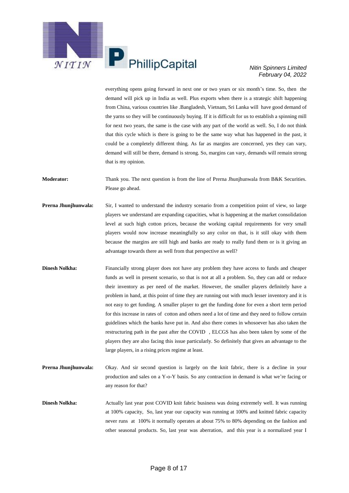

everything opens going forward in next one or two years or six month's time. So, then the demand will pick up in India as well. Plus exports when there is a strategic shift happening from China, various countries like .Bangladesh, Vietnam, Sri Lanka will have good demand of the yarns so they will be continuously buying. If it is difficult for us to establish a spinning mill for next two years, the same is the case with any part of the world as well. So, I do not think that this cycle which is there is going to be the same way what has happened in the past, it could be a completely different thing. As far as margins are concerned, yes they can vary, demand will still be there, demand is strong. So, margins can vary, demands will remain strong that is my opinion.

**Moderator:** Thank you. The next question is from the line of Prerna Jhunjhunwala from B&K Securities. Please go ahead.

- **Prerna Jhunjhunwala:** Sir, I wanted to understand the industry scenario from a competition point of view, so large players we understand are expanding capacities, what is happening at the market consolidation level at such high cotton prices, because the working capital requirements for very small players would now increase meaningfully so any color on that, is it still okay with them because the margins are still high and banks are ready to really fund them or is it giving an advantage towards there as well from that perspective as well?
- **Dinesh Nolkha:** Financially strong player does not have any problem they have access to funds and cheaper funds as well in present scenario, so that is not at all a problem. So, they can add or reduce their inventory as per need of the market. However, the smaller players definitely have a problem in hand, at this point of time they are running out with much lesser inventory and it is not easy to get funding. A smaller player to get the funding done for even a short term period for this increase in rates of cotton and others need a lot of time and they need to follow certain guidelines which the banks have put in. And also there comes in whosoever has also taken the restructuring path in the past after the COVID , ELCGS has also been taken by some of the players they are also facing this issue particularly. So definitely that gives an advantage to the large players, in a rising prices regime at least.
- **Prerna Jhunjhunwala:** Okay. And sir second question is largely on the knit fabric, there is a decline in your production and sales on a Y-o-Y basis. So any contraction in demand is what we're facing or any reason for that?
- **Dinesh Nolkha:** Actually last year post COVID knit fabric business was doing extremely well. It was running at 100% capacity, So, last year our capacity was running at 100% and knitted fabric capacity never runs at 100% it normally operates at about 75% to 80% depending on the fashion and other seasonal products. So, last year was aberration, and this year is a normalized year I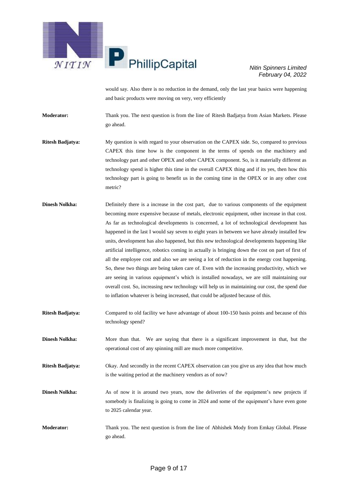

would say. Also there is no reduction in the demand, only the last year basics were happening and basic products were moving on very, very efficiently

**Moderator:** Thank you. The next question is from the line of Ritesh Badjatya from Asian Markets. Please go ahead.

**Ritesh Badjatya:** My question is with regard to your observation on the CAPEX side. So, compared to previous CAPEX this time how is the component in the terms of spends on the machinery and technology part and other OPEX and other CAPEX component. So, is it materially different as technology spend is higher this time in the overall CAPEX thing and if its yes, then how this technology part is going to benefit us in the coming time in the OPEX or in any other cost metric?

- **Dinesh Nolkha:** Definitely there is a increase in the cost part, due to various components of the equipment becoming more expensive because of metals, electronic equipment, other increase in that cost. As far as technological developments is concerned, a lot of technological development has happened in the last I would say seven to eight years in between we have already installed few units, development has also happened, but this new technological developments happening like artificial intelligence, robotics coming in actually is bringing down the cost on part of first of all the employee cost and also we are seeing a lot of reduction in the energy cost happening. So, these two things are being taken care of. Even with the increasing productivity, which we are seeing in various equipment's which is installed nowadays, we are still maintaining our overall cost. So, increasing new technology will help us in maintaining our cost, the spend due to inflation whatever is being increased, that could be adjusted because of this.
- **Ritesh Badjatya:** Compared to old facility we have advantage of about 100-150 basis points and because of this technology spend?
- **Dinesh Nolkha:** More than that. We are saying that there is a significant improvement in that, but the operational cost of any spinning mill are much more competitive.

**Ritesh Badjatya:** Okay. And secondly in the recent CAPEX observation can you give us any idea that how much is the waiting period at the machinery vendors as of now?

- **Dinesh Nolkha:** As of now it is around two years, now the deliveries of the equipment's new projects if somebody is finalizing is going to come in 2024 and some of the equipment's have even gone to 2025 calendar year.
- **Moderator:** Thank you. The next question is from the line of Abhishek Mody from Emkay Global. Please go ahead.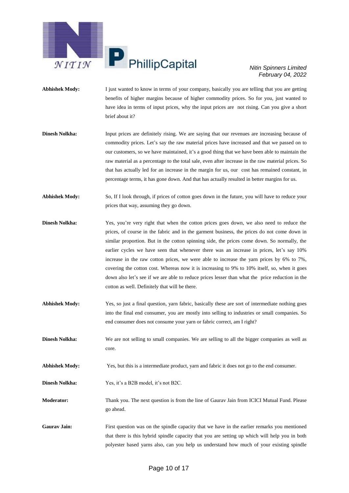

- **Abhishek Mody:** I just wanted to know in terms of your company, basically you are telling that you are getting benefits of higher margins because of higher commodity prices. So for you, just wanted to have idea in terms of input prices, why the input prices are not rising. Can you give a short brief about it?
- **Dinesh Nolkha:** Input prices are definitely rising. We are saying that our revenues are increasing because of commodity prices. Let's say the raw material prices have increased and that we passed on to our customers, so we have maintained, it's a good thing that we have been able to maintain the raw material as a percentage to the total sale, even after increase in the raw material prices. So that has actually led for an increase in the margin for us, our cost has remained constant, in percentage terms, it has gone down. And that has actually resulted in better margins for us.
- **Abhishek Mody:** So, If I look through, if prices of cotton goes down in the future, you will have to reduce your prices that way, assuming they go down.
- **Dinesh Nolkha:** Yes, you're very right that when the cotton prices goes down, we also need to reduce the prices, of course in the fabric and in the garment business, the prices do not come down in similar proportion. But in the cotton spinning side, the prices come down. So normally, the earlier cycles we have seen that whenever there was an increase in prices, let's say 10% increase in the raw cotton prices, we were able to increase the yarn prices by 6% to 7%, covering the cotton cost. Whereas now it is increasing to 9% to 10% itself, so, when it goes down also let's see if we are able to reduce prices lesser than what the price reduction in the cotton as well. Definitely that will be there.
- **Abhishek Mody:** Yes, so just a final question, yarn fabric, basically these are sort of intermediate nothing goes into the final end consumer, you are mostly into selling to industries or small companies. So end consumer does not consume your yarn or fabric correct, am I right?
- **Dinesh Nolkha:** We are not selling to small companies. We are selling to all the bigger companies as well as core.
- **Abhishek Mody:** Yes, but this is a intermediate product, yarn and fabric it does not go to the end consumer.
- **Dinesh Nolkha:** Yes, it's a B2B model, it's not B2C.
- **Moderator:** Thank you. The next question is from the line of Gaurav Jain from ICICI Mutual Fund. Please go ahead.
- **Gaurav Jain:** First question was on the spindle capacity that we have in the earlier remarks you mentioned that there is this hybrid spindle capacity that you are setting up which will help you in both polyester based yarns also, can you help us understand how much of your existing spindle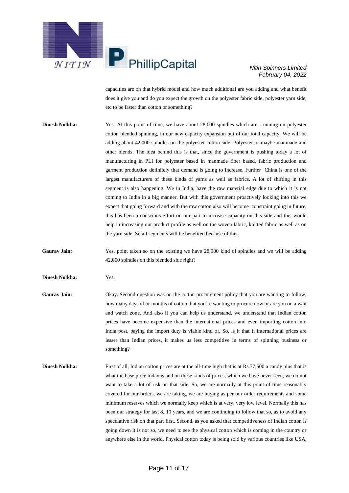

capacities are on that hybrid model and how much additional are you adding and what benefit does it give you and do you expect the growth on the polyester fabric side, polyester yarn side, etc to be faster than cotton or something?

**Dinesh Nolkha:** Yes. At this point of time, we have about 28,000 spindles which are running on polyester cotton blended spinning, in our new capacity expansion out of our total capacity. We will be adding about 42,000 spindles on the polyester cotton side. Polyester or maybe manmade and other blends. The idea behind this is that, since the government is pushing today a lot of manufacturing in PLI for polyester based in manmade fiber based, fabric production and garment production definitely that demand is going to increase. Further China is one of the largest manufacturers of these kinds of yarns as well as fabrics. A lot of shifting in this segment is also happening. We in India, have the raw material edge due to which it is not coming to India in a big manner. But with this government proactively looking into this we expect that going forward and with the raw cotton also will become constraint going in future, this has been a conscious effort on our part to increase capacity on this side and this would help in increasing our product profile as well on the woven fabric, knitted fabric as well as on the yarn side. So all segments will be benefited because of this.

**Gaurav Jain:** Yes, point taken so on the existing we have 28,000 kind of spindles and we will be adding 42,000 spindles on this blended side right?

- **Dinesh Nolkha:** Yes.
- Gaurav Jain: Okay. Second question was on the cotton procurement policy that you are wanting to follow, how many days of or months of cotton that you're wanting to procure now or are you on a wait and watch zone. And also if you can help us understand, we understand that Indian cotton prices have become expensive than the international prices and even importing cotton into India post, paying the import duty is viable kind of. So, is it that if international prices are lesser than Indian prices, it makes us less competitive in terms of spinning business or something?
- **Dinesh Nolkha:** First of all, Indian cotton prices are at the all-time high that is at Rs.77,500 a candy plus that is what the base price today is and on these kinds of prices, which we have never seen, we do not want to take a lot of risk on that side. So, we are normally at this point of time reasonably covered for our orders, we are taking, we are buying as per our order requirements and some minimum reserves which we normally keep which is at very, very low level. Normally this has been our strategy for last 8, 10 years, and we are continuing to follow that so, as to avoid any speculative risk on that part first. Second, as you asked that competitiveness of Indian cotton is going down it is not so, we need to see the physical cotton which is coming in the country or anywhere else in the world. Physical cotton today is being sold by various countries like USA,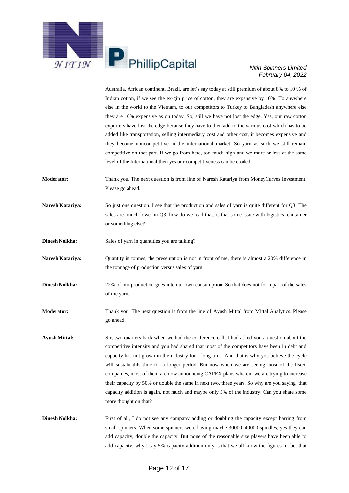

Australia, African continent, Brazil, are let's say today at still premium of about 8% to 10 % of Indian cotton, if we see the ex-gin price of cotton, they are expensive by 10%. To anywhere else in the world to the Vietnam, to our competitors to Turkey to Bangladesh anywhere else they are 10% expensive as on today. So, still we have not lost the edge. Yes, our raw cotton exporters have lost the edge because they have to then add to the various cost which has to be added like transportation, selling intermediary cost and other cost, it becomes expensive and they become noncompetitive in the international market. So yarn as such we still remain competitive on that part. If we go from here, too much high and we more or less at the same level of the International then yes our competitiveness can be eroded.

- **Moderator:** Thank you. The next question is from line of Naresh Katariya from MoneyCurves Investment. Please go ahead.
- **Naresh Katariya:** So just one question. I see that the production and sales of yarn is quite different for Q3. The sales are much lower in Q3, how do we read that, is that some issue with logistics, container or something else?
- **Dinesh Nolkha:** Sales of yarn in quantities you are talking?
- **Naresh Katariya:** Quantity in tonnes, the presentation is not in front of me, there is almost a 20% difference in the tonnage of production versus sales of yarn.
- **Dinesh Nolkha:** 22% of our production goes into our own consumption. So that does not form part of the sales of the yarn.
- **Moderator:** Thank you. The next question is from the line of Ayush Mittal from Mittal Analytics. Please go ahead.
- **Ayush Mittal:** Sir, two quarters back when we had the conference call, I had asked you a question about the competitive intensity and you had shared that most of the competitors have been in debt and capacity has not grown in the industry for a long time. And that is why you believe the cycle will sustain this time for a longer period. But now when we are seeing most of the listed companies, most of them are now announcing CAPEX plans wherein we are trying to increase their capacity by 50% or double the same in next two, three years. So why are you saying that capacity addition is again, not much and maybe only 5% of the industry. Can you share some more thought on that?
- **Dinesh Nolkha:** First of all, I do not see any company adding or doubling the capacity except barring from small spinners. When some spinners were having maybe 30000, 40000 spindles, yes they can add capacity, double the capacity. But none of the reasonable size players have been able to add capacity, why I say 5% capacity addition only is that we all know the figures in fact that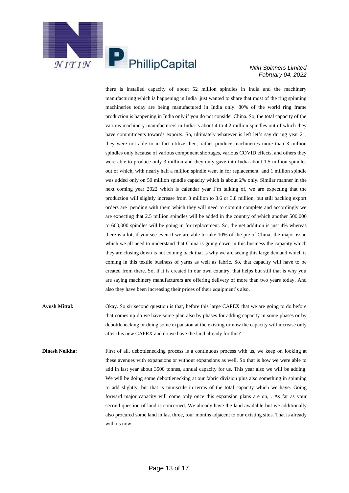

there is installed capacity of about 52 million spindles in India and the machinery manufacturing which is happening in India just wanted to share that most of the ring spinning machineries today are being manufactured in India only. 80% of the world ring frame production is happening in India only if you do not consider China. So, the total capacity of the various machinery manufacturers in India is about 4 to 4.2 million spindles out of which they have commitments towards exports. So, ultimately whatever is left let's say during year 21, they were not able to in fact utilize their, rather produce machineries more than 3 million spindles only because of various component shortages, various COVID effects, and others they were able to produce only 3 million and they only gave into India about 1.5 million spindles out of which, with nearly half a million spindle went in for replacement and 1 million spindle was added only on 50 million spindle capacity which is about 2% only. Similar manner in the next coming year 2022 which is calendar year I'm talking of, we are expecting that the production will slightly increase from 3 million to 3.6 or 3.8 million, but still backlog export orders are pending with them which they will need to commit complete and accordingly we are expecting that 2.5 million spindles will be added in the country of which another 500,000 to 600,000 spindles will be going in for replacement. So, the net addition is just 4% whereas there is a lot, if you see even if we are able to take 10% of the pie of China the major issue which we all need to understand that China is going down in this business the capacity which they are closing down is not coming back that is why we are seeing this large demand which is coming in this textile business of yarns as well as fabric. So, that capacity will have to be created from there. So, if it is created in our own country, that helps but still that is why you are saying machinery manufacturers are offering delivery of more than two years today. And also they have been increasing their prices of their equipment's also.

- **Ayush Mittal:** Okay. So sir second question is that, before this large CAPEX that we are going to do before that comes up do we have some plan also by phases for adding capacity in some phases or by debottlenecking or doing some expansion at the existing or now the capacity will increase only after this new CAPEX and do we have the land already for this?
- **Dinesh Nolkha:** First of all, debottlenecking process is a continuous process with us, we keep on looking at these avenues with expansions or without expansions as well. So that is how we were able to add in last year about 3500 tonnes, annual capacity for us. This year also we will be adding. We will be doing some debottlenecking at our fabric division plus also something in spinning to add slightly, but that is miniscule in terms of the total capacity which we have. Going forward major capacity will come only once this expansion plans are on, . As far as your second question of land is concerned. We already have the land available but we additionally also procured some land in last three, four months adjacent to our existing sites. That is already with us now.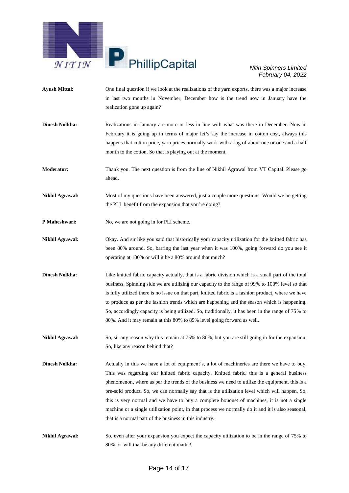

- **Ayush Mittal:** One final question if we look at the realizations of the yarn exports, there was a major increase in last two months in November, December how is the trend now in January have the realization gone up again?
- **Dinesh Nolkha:** Realizations in January are more or less in line with what was there in December. Now in February it is going up in terms of major let's say the increase in cotton cost, always this happens that cotton price, yarn prices normally work with a lag of about one or one and a half month to the cotton. So that is playing out at the moment.

**Moderator:** Thank you. The next question is from the line of Nikhil Agrawal from VT Capital. Please go ahead.

**Nikhil Agrawal:** Most of my questions have been answered, just a couple more questions. Would we be getting the PLI benefit from the expansion that you're doing?

- **P Maheshwari:** No, we are not going in for PLI scheme.
- **Nikhil Agrawal:** Okay. And sir like you said that historically your capacity utilization for the knitted fabric has been 80% around. So, barring the last year when it was 100%, going forward do you see it operating at 100% or will it be a 80% around that much?
- **Dinesh Nolkha:** Like knitted fabric capacity actually, that is a fabric division which is a small part of the total business. Spinning side we are utilizing our capacity to the range of 99% to 100% level so that is fully utilized there is no issue on that part, knitted fabric is a fashion product, where we have to produce as per the fashion trends which are happening and the season which is happening. So, accordingly capacity is being utilized. So, traditionally, it has been in the range of 75% to 80%. And it may remain at this 80% to 85% level going forward as well.

**Nikhil Agrawal:** So, sir any reason why this remain at 75% to 80%, but you are still going in for the expansion. So, like any reason behind that?

- **Dinesh Nolkha:** Actually in this we have a lot of equipment's, a lot of machineries are there we have to buy. This was regarding our knitted fabric capacity. Knitted fabric, this is a general business phenomenon, where as per the trends of the business we need to utilize the equipment. this is a pre-sold product. So, we can normally say that is the utilization level which will happen. So, this is very normal and we have to buy a complete bouquet of machines, it is not a single machine or a single utilization point, in that process we normally do it and it is also seasonal, that is a normal part of the business in this industry.
- **Nikhil Agrawal:** So, even after your expansion you expect the capacity utilization to be in the range of 75% to 80%, or will that be any different math ?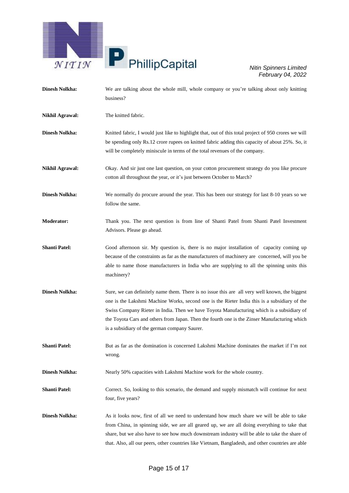

| <b>Dinesh Nolkha:</b>  | We are talking about the whole mill, whole company or you're talking about only knitting<br>business?                                                                                                                                                                                                                                                                                                                                        |
|------------------------|----------------------------------------------------------------------------------------------------------------------------------------------------------------------------------------------------------------------------------------------------------------------------------------------------------------------------------------------------------------------------------------------------------------------------------------------|
| <b>Nikhil Agrawal:</b> | The knitted fabric.                                                                                                                                                                                                                                                                                                                                                                                                                          |
| <b>Dinesh Nolkha:</b>  | Knitted fabric, I would just like to highlight that, out of this total project of 950 crores we will<br>be spending only Rs.12 crore rupees on knitted fabric adding this capacity of about 25%. So, it<br>will be completely miniscule in terms of the total revenues of the company.                                                                                                                                                       |
| <b>Nikhil Agrawal:</b> | Okay. And sir just one last question, on your cotton procurement strategy do you like procure<br>cotton all throughout the year, or it's just between October to March?                                                                                                                                                                                                                                                                      |
| <b>Dinesh Nolkha:</b>  | We normally do procure around the year. This has been our strategy for last 8-10 years so we<br>follow the same.                                                                                                                                                                                                                                                                                                                             |
| <b>Moderator:</b>      | Thank you. The next question is from line of Shanti Patel from Shanti Patel Investment<br>Advisors. Please go ahead.                                                                                                                                                                                                                                                                                                                         |
| <b>Shanti Patel:</b>   | Good afternoon sir. My question is, there is no major installation of capacity coming up<br>because of the constraints as far as the manufacturers of machinery are concerned, will you be<br>able to name those manufacturers in India who are supplying to all the spinning units this<br>machinery?                                                                                                                                       |
| <b>Dinesh Nolkha:</b>  | Sure, we can definitely name them. There is no issue this are all very well known, the biggest<br>one is the Lakshmi Machine Works, second one is the Rieter India this is a subsidiary of the<br>Swiss Company Rieter in India. Then we have Toyota Manufacturing which is a subsidiary of<br>the Toyota Cars and others from Japan. Then the fourth one is the Zinser Manufacturing which<br>is a subsidiary of the german company Saurer. |
| <b>Shanti Patel:</b>   | But as far as the domination is concerned Lakshmi Machine dominates the market if I'm not<br>wrong.                                                                                                                                                                                                                                                                                                                                          |
| <b>Dinesh Nolkha:</b>  | Nearly 50% capacities with Lakshmi Machine work for the whole country.                                                                                                                                                                                                                                                                                                                                                                       |
| <b>Shanti Patel:</b>   | Correct. So, looking to this scenario, the demand and supply mismatch will continue for next<br>four, five years?                                                                                                                                                                                                                                                                                                                            |
| <b>Dinesh Nolkha:</b>  | As it looks now, first of all we need to understand how much share we will be able to take<br>from China, in spinning side, we are all geared up, we are all doing everything to take that<br>share, but we also have to see how much downstream industry will be able to take the share of<br>that. Also, all our peers, other countries like Vietnam, Bangladesh, and other countries are able                                             |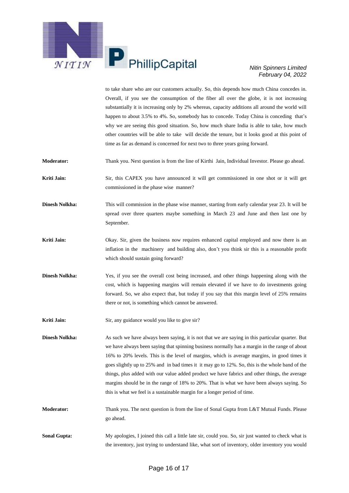

to take share who are our customers actually. So, this depends how much China concedes in. Overall, if you see the consumption of the fiber all over the globe, it is not increasing substantially it is increasing only by 2% whereas, capacity additions all around the world will happen to about 3.5% to 4%. So, somebody has to concede. Today China is conceding that's why we are seeing this good situation. So, how much share India is able to take, how much other countries will be able to take will decide the tenure, but it looks good at this point of time as far as demand is concerned for next two to three years going forward.

**Moderator:** Thank you. Next question is from the line of Kirthi Jain, Individual Investor. Please go ahead.

**Kriti Jain:** Sir, this CAPEX you have announced it will get commissioned in one shot or it will get commissioned in the phase wise manner?

**Dinesh Nolkha:** This will commission in the phase wise manner, starting from early calendar year 23. It will be spread over three quarters maybe something in March 23 and June and then last one by September.

**Kriti Jain:** Okay. Sir, given the business now requires enhanced capital employed and now there is an inflation in the machinery and building also, don't you think sir this is a reasonable profit which should sustain going forward?

**Dinesh Nolkha:** Yes, if you see the overall cost being increased, and other things happening along with the cost, which is happening margins will remain elevated if we have to do investments going forward. So, we also expect that, but today if you say that this margin level of 25% remains there or not, is something which cannot be answered.

**Kriti Jain:** Sir, any guidance would you like to give sir?

**Dinesh Nolkha:** As such we have always been saying, it is not that we are saying in this particular quarter. But we have always been saying that spinning business normally has a margin in the range of about 16% to 20% levels. This is the level of margins, which is average margins, in good times it goes slightly up to 25% and in bad times it it may go to 12%. So, this is the whole band of the things, plus added with our value added product we have fabrics and other things, the average margins should be in the range of 18% to 20%. That is what we have been always saying. So this is what we feel is a sustainable margin for a longer period of time.

**Moderator:** Thank you. The next question is from the line of Sonal Gupta from L&T Mutual Funds. Please go ahead.

**Sonal Gupta:** My apologies, I joined this call a little late sir, could you. So, sir just wanted to check what is the inventory, just trying to understand like, what sort of inventory, older inventory you would